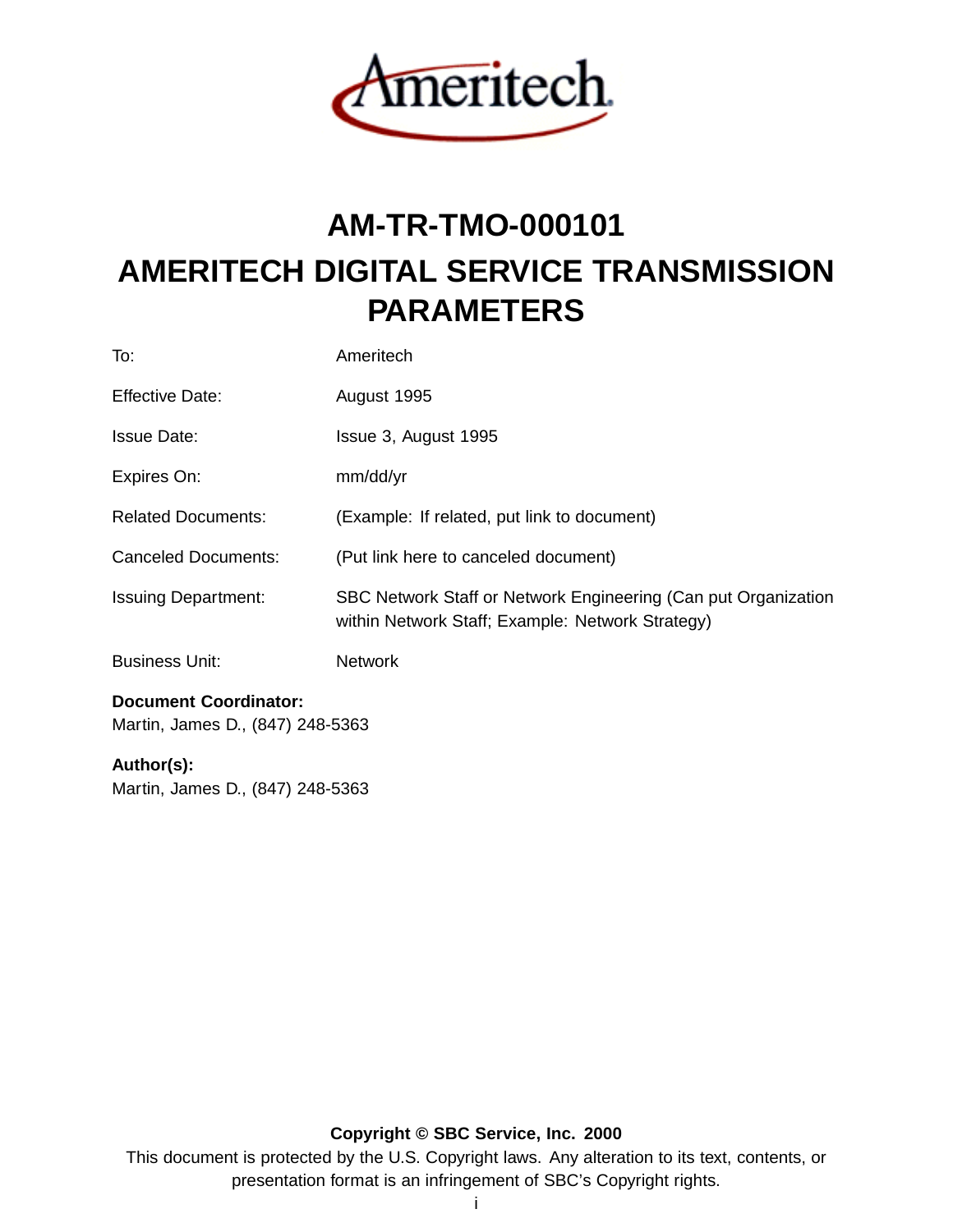

# **AM-TR-TMO-000101 AMERITECH DIGITAL SERVICE TRANSMISSION PARAMETERS**

| Document Coordinator:      |                                                                                                                    |
|----------------------------|--------------------------------------------------------------------------------------------------------------------|
| <b>Business Unit:</b>      | <b>Network</b>                                                                                                     |
| <b>Issuing Department:</b> | SBC Network Staff or Network Engineering (Can put Organization<br>within Network Staff; Example: Network Strategy) |
| <b>Canceled Documents:</b> | (Put link here to canceled document)                                                                               |
| <b>Related Documents:</b>  | (Example: If related, put link to document)                                                                        |
| Expires On:                | mm/dd/yr                                                                                                           |
| <b>Issue Date:</b>         | Issue 3, August 1995                                                                                               |
| Effective Date:            | August 1995                                                                                                        |
| To:                        | Ameritech                                                                                                          |

Martin, James D., (847) 248-5363

### **Author(s):**

Martin, James D., (847) 248-5363

**Copyright © SBC Service, Inc. 2000**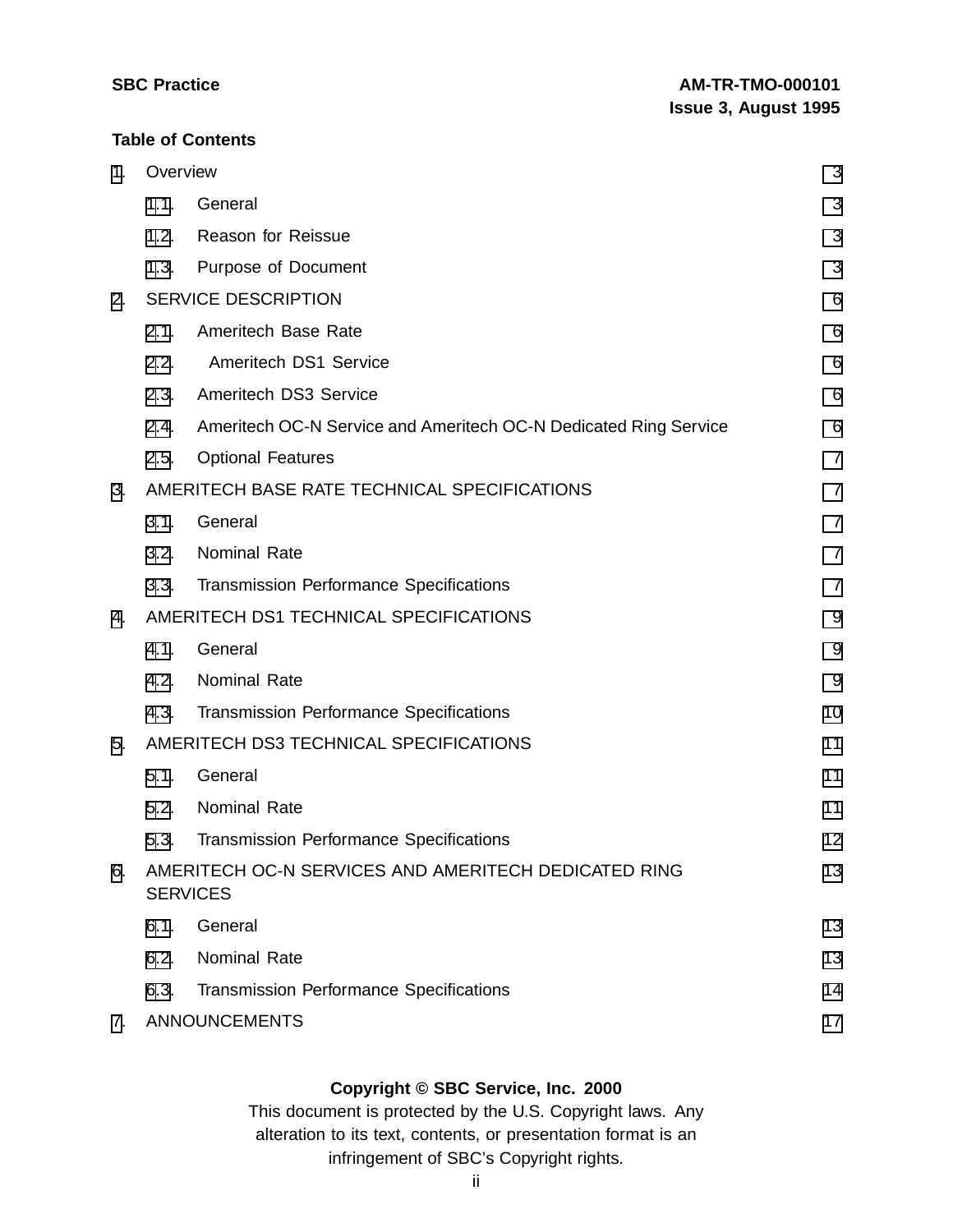#### **Table of Contents**

| 1. | Overview                               |                                                                         | 3              |
|----|----------------------------------------|-------------------------------------------------------------------------|----------------|
|    | 1.1.                                   | General                                                                 | 3              |
|    | 1.2.                                   | Reason for Reissue                                                      | 3              |
|    | 1.3.                                   | Purpose of Document                                                     | 3              |
| 2. |                                        | <b>SERVICE DESCRIPTION</b>                                              | 6              |
|    | 2.1.                                   | Ameritech Base Rate                                                     | 6              |
|    | 2.2.                                   | Ameritech DS1 Service                                                   | 6              |
|    | 2.3.                                   | Ameritech DS3 Service                                                   | 6              |
|    | 2.4.                                   | Ameritech OC-N Service and Ameritech OC-N Dedicated Ring Service        | 6              |
|    | 2.5.                                   | <b>Optional Features</b>                                                | $\overline{7}$ |
| 3. |                                        | AMERITECH BASE RATE TECHNICAL SPECIFICATIONS                            | $\overline{7}$ |
|    | 3.1.                                   | General                                                                 | $\overline{7}$ |
|    | 3.2.                                   | <b>Nominal Rate</b>                                                     | $\overline{7}$ |
|    | 3.3.                                   | <b>Transmission Performance Specifications</b>                          | $\overline{7}$ |
| 4. | AMERITECH DS1 TECHNICAL SPECIFICATIONS |                                                                         | 9              |
|    | 4.1.                                   | General                                                                 | 9              |
|    | 4.2.                                   | Nominal Rate                                                            | 9              |
|    | 4.3.                                   | <b>Transmission Performance Specifications</b>                          | 10             |
| 5. |                                        | AMERITECH DS3 TECHNICAL SPECIFICATIONS                                  | 11             |
|    | 5.1.                                   | General                                                                 | 11             |
|    | 5.2.                                   | <b>Nominal Rate</b>                                                     | 11             |
|    | 5.3.                                   | <b>Transmission Performance Specifications</b>                          | 12             |
| 6. |                                        | AMERITECH OC-N SERVICES AND AMERITECH DEDICATED RING<br><b>SERVICES</b> | 13             |
|    | 6.1.                                   | General                                                                 | 13             |
|    | 6.2.                                   | Nominal Rate                                                            | 13             |
|    | 6.3.                                   | <b>Transmission Performance Specifications</b>                          | 14             |
| 7. |                                        | <b>ANNOUNCEMENTS</b>                                                    | 17             |
|    |                                        |                                                                         |                |

## **Copyright © SBC Service, Inc. 2000**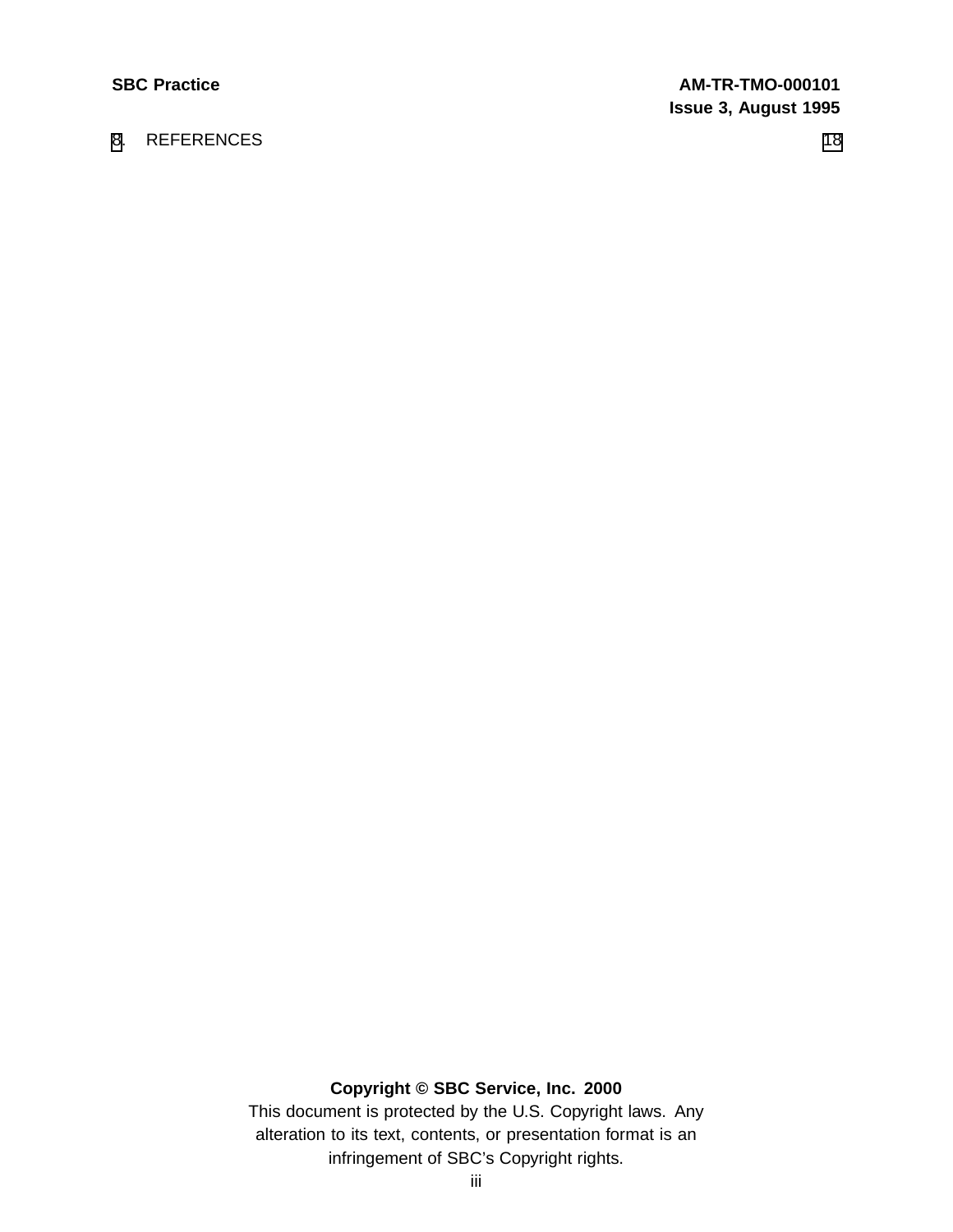# [8](#page-20-0). REFERENCES [18](#page-20-0)

# **Copyright © SBC Service, Inc. 2000**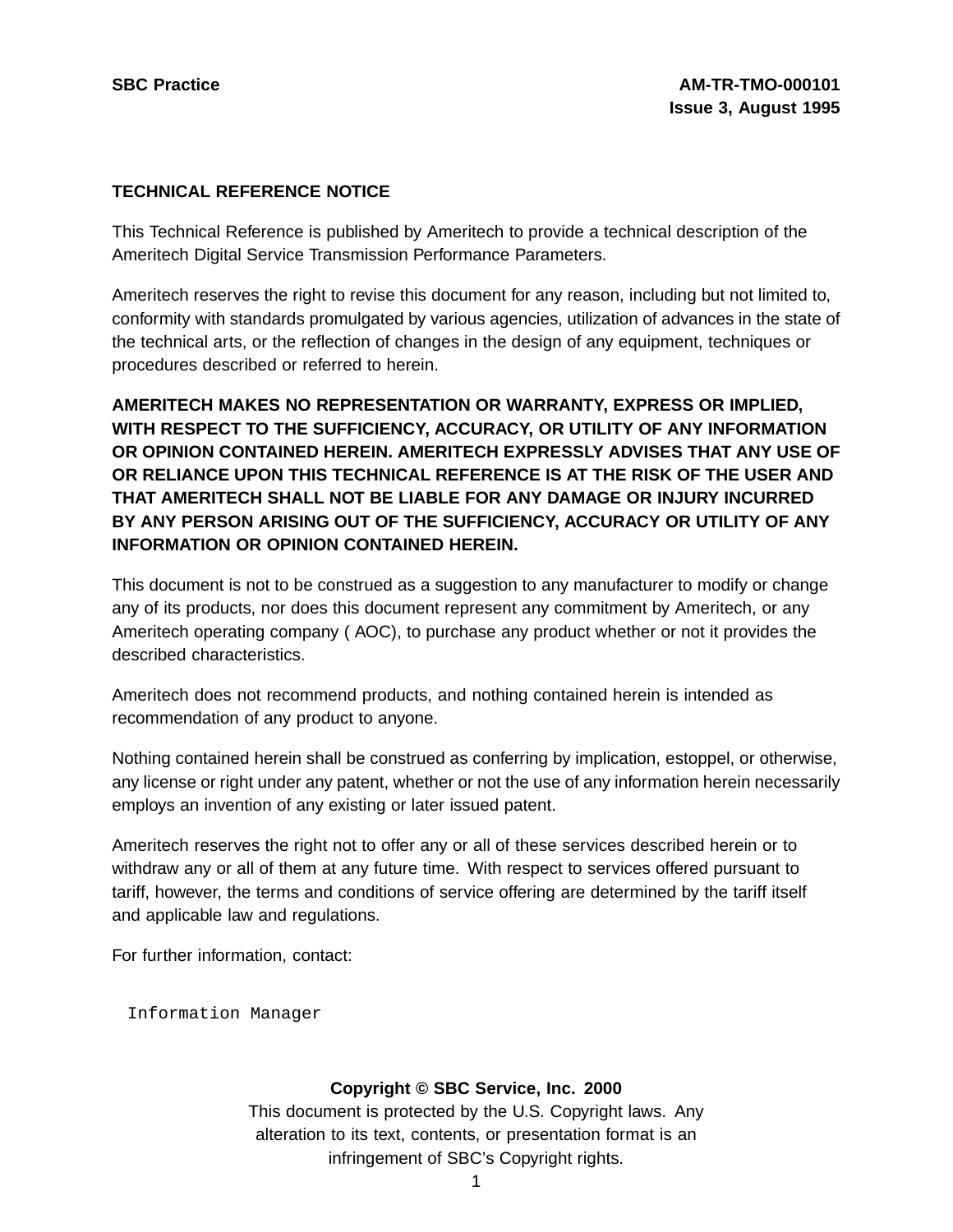#### **TECHNICAL REFERENCE NOTICE**

This Technical Reference is published by Ameritech to provide a technical description of the Ameritech Digital Service Transmission Performance Parameters.

Ameritech reserves the right to revise this document for any reason, including but not limited to, conformity with standards promulgated by various agencies, utilization of advances in the state of the technical arts, or the reflection of changes in the design of any equipment, techniques or procedures described or referred to herein.

**AMERITECH MAKES NO REPRESENTATION OR WARRANTY, EXPRESS OR IMPLIED, WITH RESPECT TO THE SUFFICIENCY, ACCURACY, OR UTILITY OF ANY INFORMATION OR OPINION CONTAINED HEREIN. AMERITECH EXPRESSLY ADVISES THAT ANY USE OF OR RELIANCE UPON THIS TECHNICAL REFERENCE IS AT THE RISK OF THE USER AND THAT AMERITECH SHALL NOT BE LIABLE FOR ANY DAMAGE OR INJURY INCURRED BY ANY PERSON ARISING OUT OF THE SUFFICIENCY, ACCURACY OR UTILITY OF ANY INFORMATION OR OPINION CONTAINED HEREIN.**

This document is not to be construed as a suggestion to any manufacturer to modify or change any of its products, nor does this document represent any commitment by Ameritech, or any Ameritech operating company ( AOC), to purchase any product whether or not it provides the described characteristics.

Ameritech does not recommend products, and nothing contained herein is intended as recommendation of any product to anyone.

Nothing contained herein shall be construed as conferring by implication, estoppel, or otherwise, any license or right under any patent, whether or not the use of any information herein necessarily employs an invention of any existing or later issued patent.

Ameritech reserves the right not to offer any or all of these services described herein or to withdraw any or all of them at any future time. With respect to services offered pursuant to tariff, however, the terms and conditions of service offering are determined by the tariff itself and applicable law and regulations.

For further information, contact:

Information Manager

#### **Copyright © SBC Service, Inc. 2000**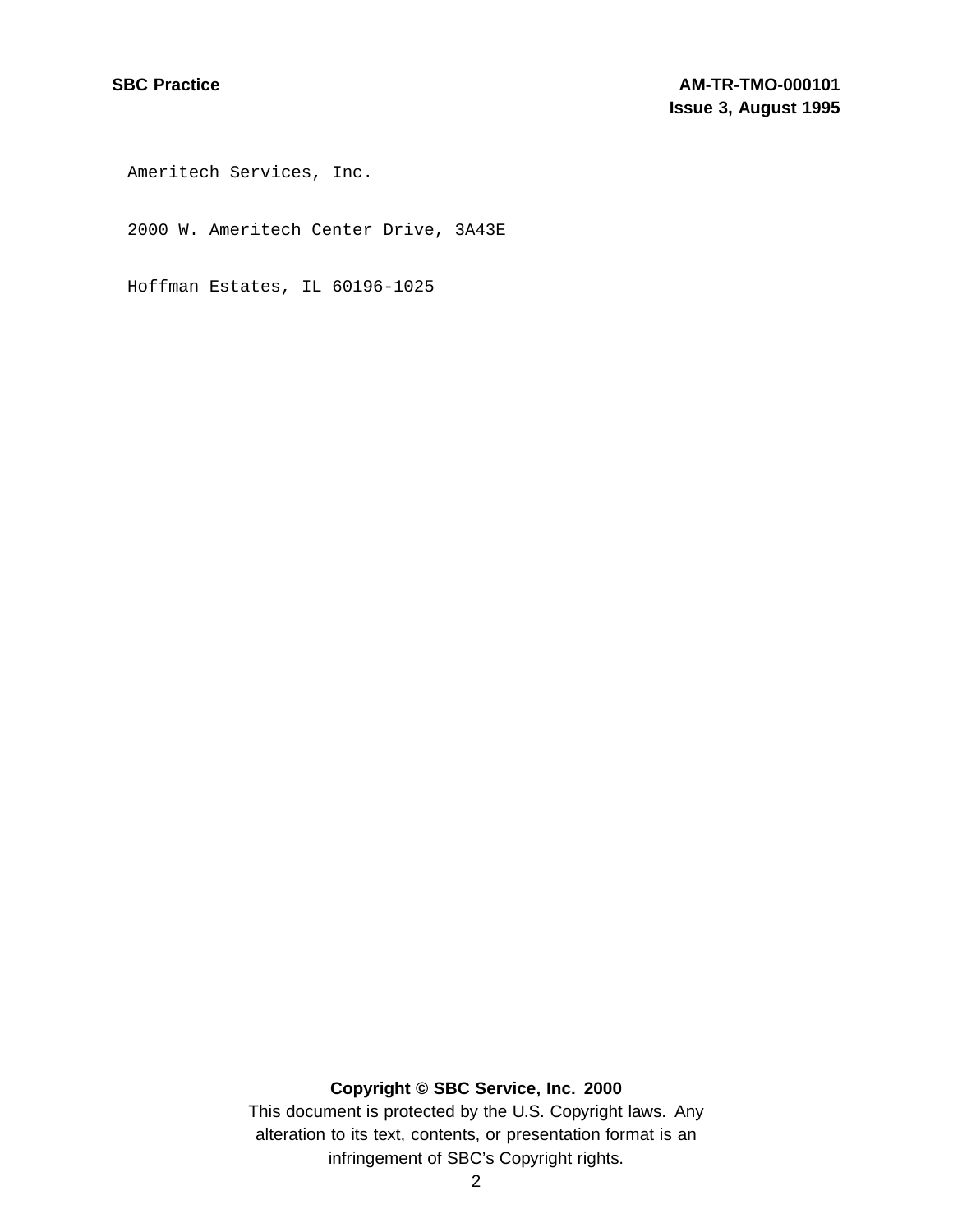Ameritech Services, Inc.

2000 W. Ameritech Center Drive, 3A43E

Hoffman Estates, IL 60196-1025

# **Copyright © SBC Service, Inc. 2000**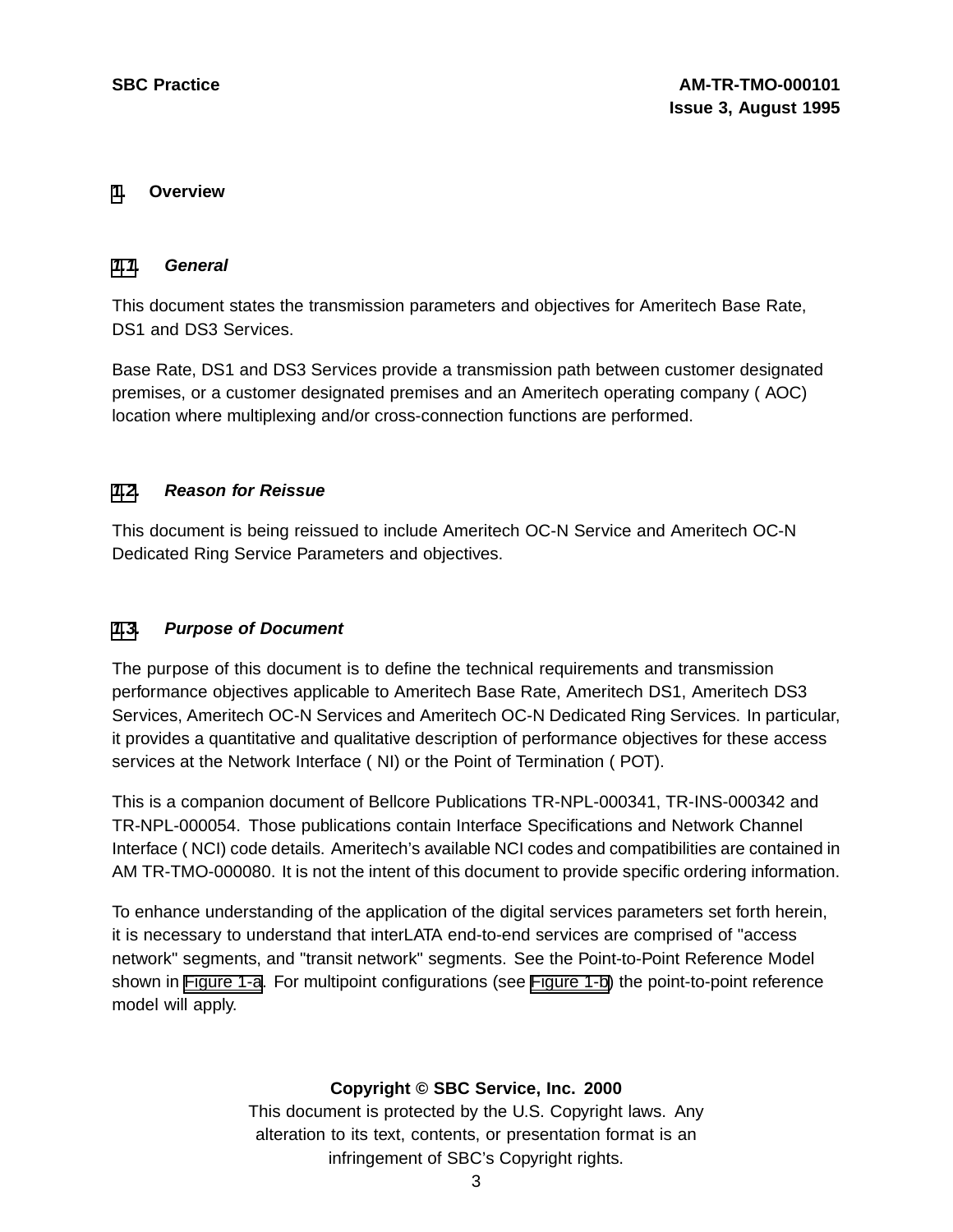#### **[1](#page-5-0). Overview**

#### **[1.1](#page-5-0). General**

This document states the transmission parameters and objectives for Ameritech Base Rate, DS1 and DS3 Services.

Base Rate, DS1 and DS3 Services provide a transmission path between customer designated premises, or a customer designated premises and an Ameritech operating company ( AOC) location where multiplexing and/or cross-connection functions are performed.

#### **[1.2](#page-5-0). Reason for Reissue**

This document is being reissued to include Ameritech OC-N Service and Ameritech OC-N Dedicated Ring Service Parameters and objectives.

#### **[1.3](#page-5-0). Purpose of Document**

The purpose of this document is to define the technical requirements and transmission performance objectives applicable to Ameritech Base Rate, Ameritech DS1, Ameritech DS3 Services, Ameritech OC-N Services and Ameritech OC-N Dedicated Ring Services. In particular, it provides a quantitative and qualitative description of performance objectives for these access services at the Network Interface ( NI) or the Point of Termination ( POT).

This is a companion document of Bellcore Publications TR-NPL-000341, TR-INS-000342 and TR-NPL-000054. Those publications contain Interface Specifications and Network Channel Interface ( NCI) code details. Ameritech's available NCI codes and compatibilities are contained in AM TR-TMO-000080. It is not the intent of this document to provide specific ordering information.

<span id="page-5-0"></span>To enhance understanding of the application of the digital services parameters set forth herein, it is necessary to understand that interLATA end-to-end services are comprised of "access network" segments, and "transit network" segments. See the Point-to-Point Reference Model shown in **[Figure](#page-7-0) 1-a**. For multipoint configurations (see Figure 1-b) the point-to-point reference model will apply.

#### **Copyright © SBC Service, Inc. 2000**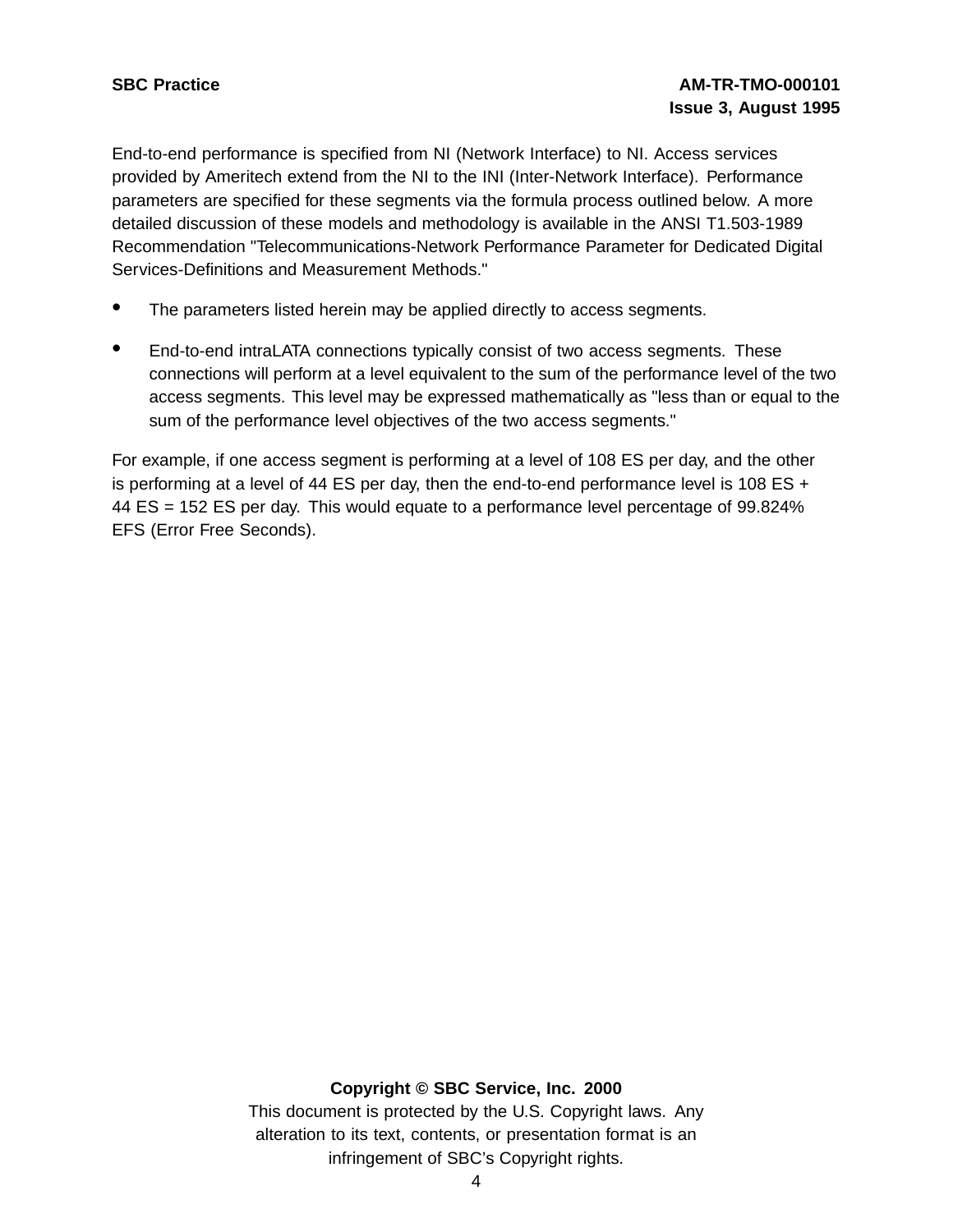End-to-end performance is specified from NI (Network Interface) to NI. Access services provided by Ameritech extend from the NI to the INI (Inter-Network Interface). Performance parameters are specified for these segments via the formula process outlined below. A more detailed discussion of these models and methodology is available in the ANSI T1.503-1989 Recommendation "Telecommunications-Network Performance Parameter for Dedicated Digital Services-Definitions and Measurement Methods."

- The parameters listed herein may be applied directly to access segments.
- End-to-end intraLATA connections typically consist of two access segments. These connections will perform at a level equivalent to the sum of the performance level of the two access segments. This level may be expressed mathematically as "less than or equal to the sum of the performance level objectives of the two access segments."

For example, if one access segment is performing at a level of 108 ES per day, and the other is performing at a level of 44 ES per day, then the end-to-end performance level is 108 ES  $+$ 44 ES = 152 ES per day. This would equate to a performance level percentage of 99.824% EFS (Error Free Seconds).

#### **Copyright © SBC Service, Inc. 2000**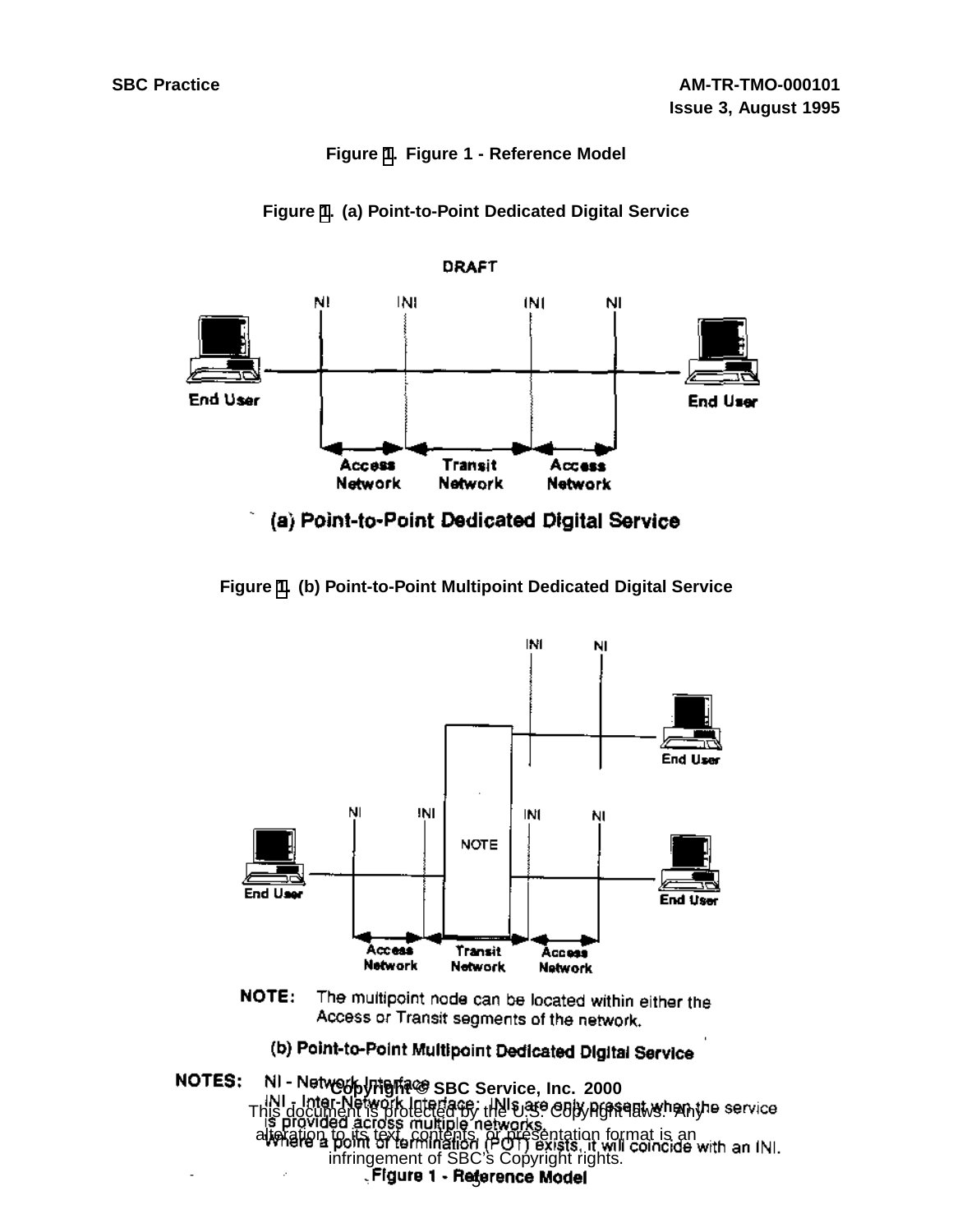#### **Figure [1.](#page-7-0) Figure 1 - Reference Model**





**Figure [1](#page-7-0). (b) Point-to-Point Multipoint Dedicated Digital Service**



NOTE: The multipoint node can be located within either the Access or Transit segments of the network.

# (b) Point-to-Point Multipoint Dedicated Digital Service

<span id="page-7-0"></span>NOTES: **Copyright © SBC Service, Inc. 2000** This document is protected by the U.S. Copyright laws. Any alteration to its text, contents, or presentation format is an infringement of SBC's Copyright rights. Figure 1 - Reference Model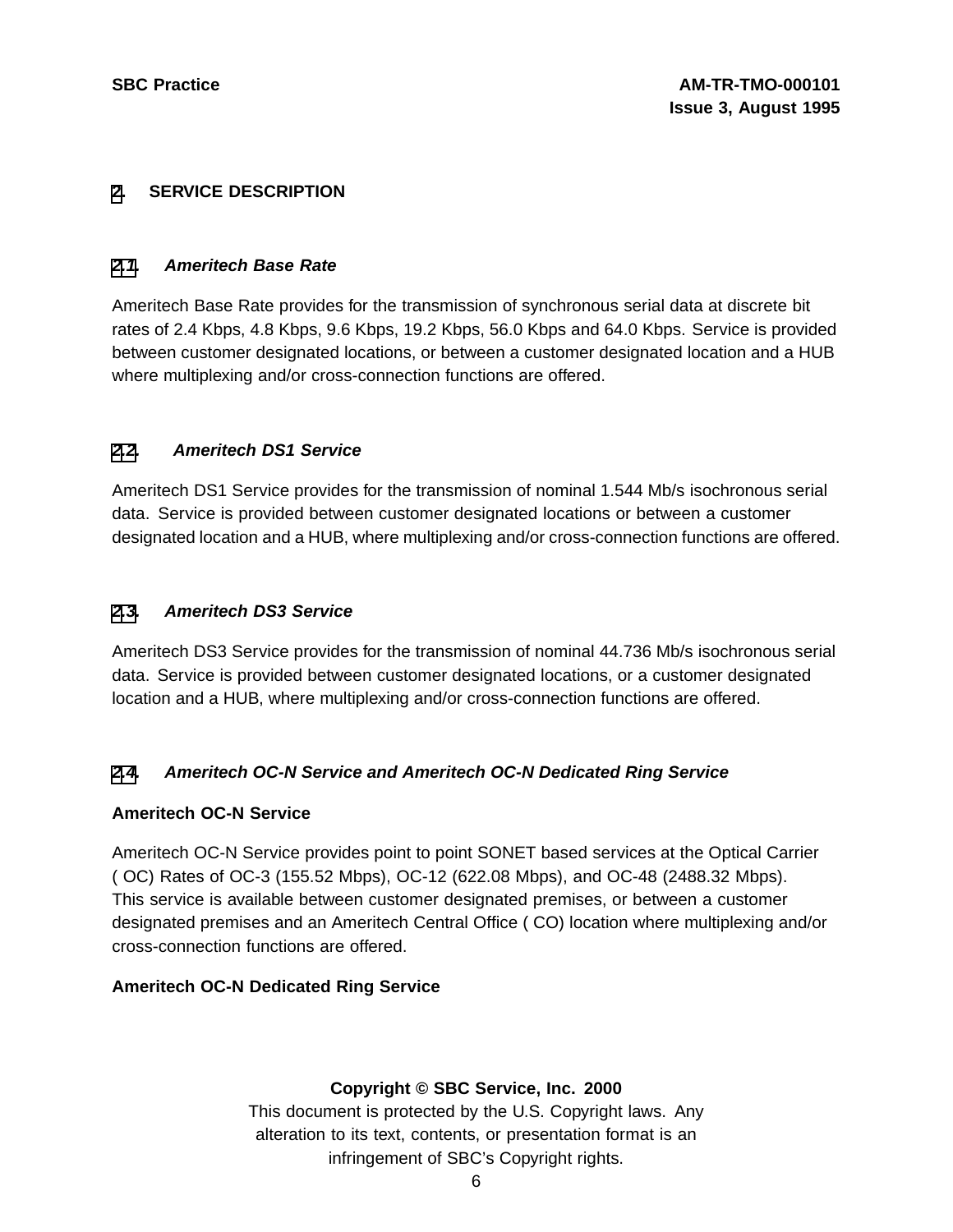#### **[2](#page-8-0). SERVICE DESCRIPTION**

#### **[2.1](#page-8-0). Ameritech Base Rate**

Ameritech Base Rate provides for the transmission of synchronous serial data at discrete bit rates of 2.4 Kbps, 4.8 Kbps, 9.6 Kbps, 19.2 Kbps, 56.0 Kbps and 64.0 Kbps. Service is provided between customer designated locations, or between a customer designated location and a HUB where multiplexing and/or cross-connection functions are offered.

#### **[2.2](#page-8-0). Ameritech DS1 Service**

Ameritech DS1 Service provides for the transmission of nominal 1.544 Mb/s isochronous serial data. Service is provided between customer designated locations or between a customer designated location and a HUB, where multiplexing and/or cross-connection functions are offered.

#### **[2.3](#page-8-0). Ameritech DS3 Service**

Ameritech DS3 Service provides for the transmission of nominal 44.736 Mb/s isochronous serial data. Service is provided between customer designated locations, or a customer designated location and a HUB, where multiplexing and/or cross-connection functions are offered.

#### **[2.4](#page-8-0). Ameritech OC-N Service and Ameritech OC-N Dedicated Ring Service**

#### **Ameritech OC-N Service**

Ameritech OC-N Service provides point to point SONET based services at the Optical Carrier ( OC) Rates of OC-3 (155.52 Mbps), OC-12 (622.08 Mbps), and OC-48 (2488.32 Mbps). This service is available between customer designated premises, or between a customer designated premises and an Ameritech Central Office ( CO) location where multiplexing and/or cross-connection functions are offered.

#### <span id="page-8-0"></span>**Ameritech OC-N Dedicated Ring Service**

#### **Copyright © SBC Service, Inc. 2000**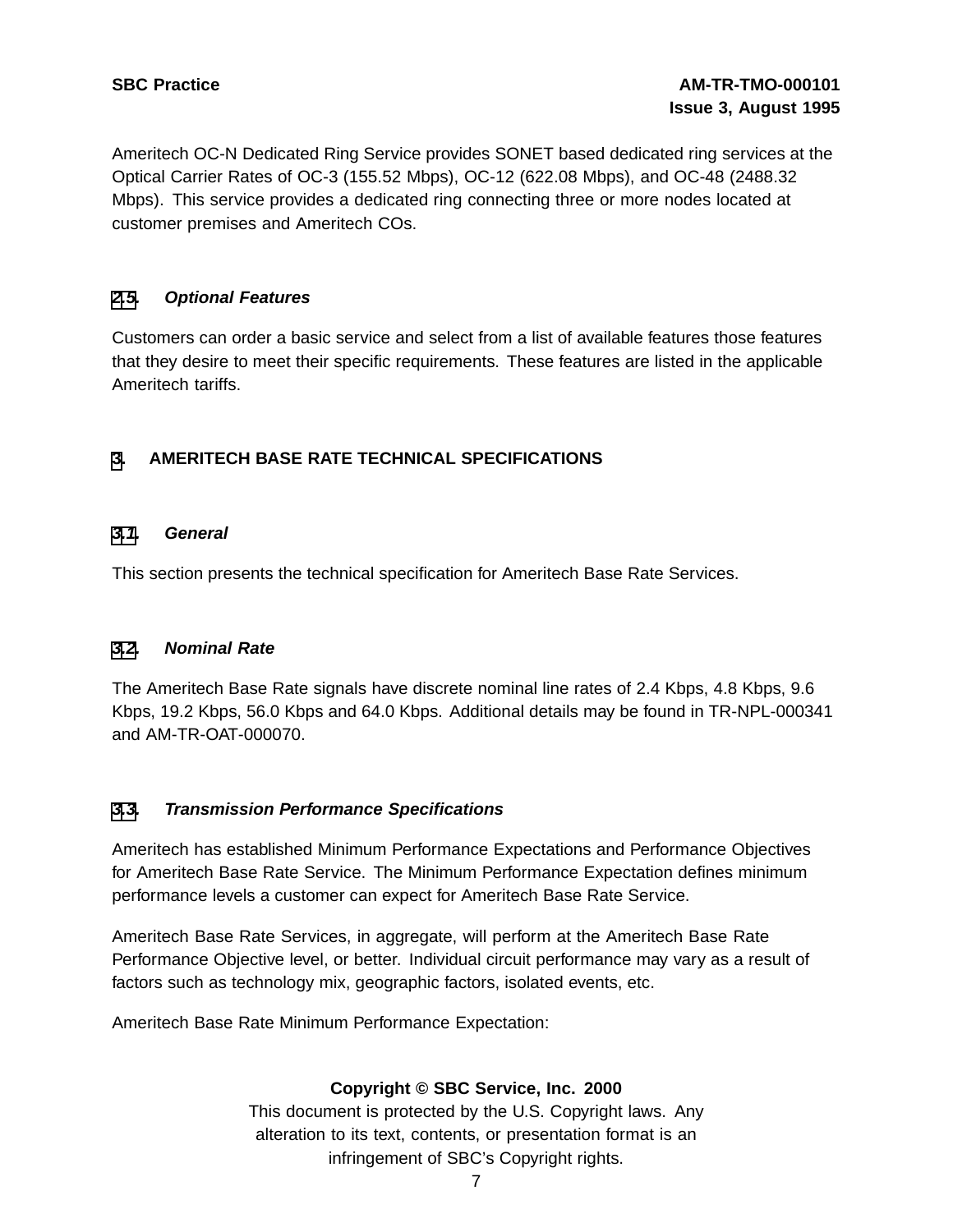Ameritech OC-N Dedicated Ring Service provides SONET based dedicated ring services at the Optical Carrier Rates of OC-3 (155.52 Mbps), OC-12 (622.08 Mbps), and OC-48 (2488.32 Mbps). This service provides a dedicated ring connecting three or more nodes located at customer premises and Ameritech COs.

#### **[2](#page-8-0)[.5](#page-9-0). Optional Features**

Customers can order a basic service and select from a list of available features those features that they desire to meet their specific requirements. These features are listed in the applicable Ameritech tariffs.

### **[3](#page-9-0). AMERITECH BASE RATE TECHNICAL SPECIFICATIONS**

#### **[3.1](#page-9-0). General**

This section presents the technical specification for Ameritech Base Rate Services.

#### **[3.2](#page-9-0). Nominal Rate**

The Ameritech Base Rate signals have discrete nominal line rates of 2.4 Kbps, 4.8 Kbps, 9.6 Kbps, 19.2 Kbps, 56.0 Kbps and 64.0 Kbps. Additional details may be found in TR-NPL-000341 and AM-TR-OAT-000070.

#### **[3.3](#page-9-0). Transmission Performance Specifications**

Ameritech has established Minimum Performance Expectations and Performance Objectives for Ameritech Base Rate Service. The Minimum Performance Expectation defines minimum performance levels a customer can expect for Ameritech Base Rate Service.

Ameritech Base Rate Services, in aggregate, will perform at the Ameritech Base Rate Performance Objective level, or better. Individual circuit performance may vary as a result of factors such as technology mix, geographic factors, isolated events, etc.

<span id="page-9-0"></span>Ameritech Base Rate Minimum Performance Expectation:

#### **Copyright © SBC Service, Inc. 2000**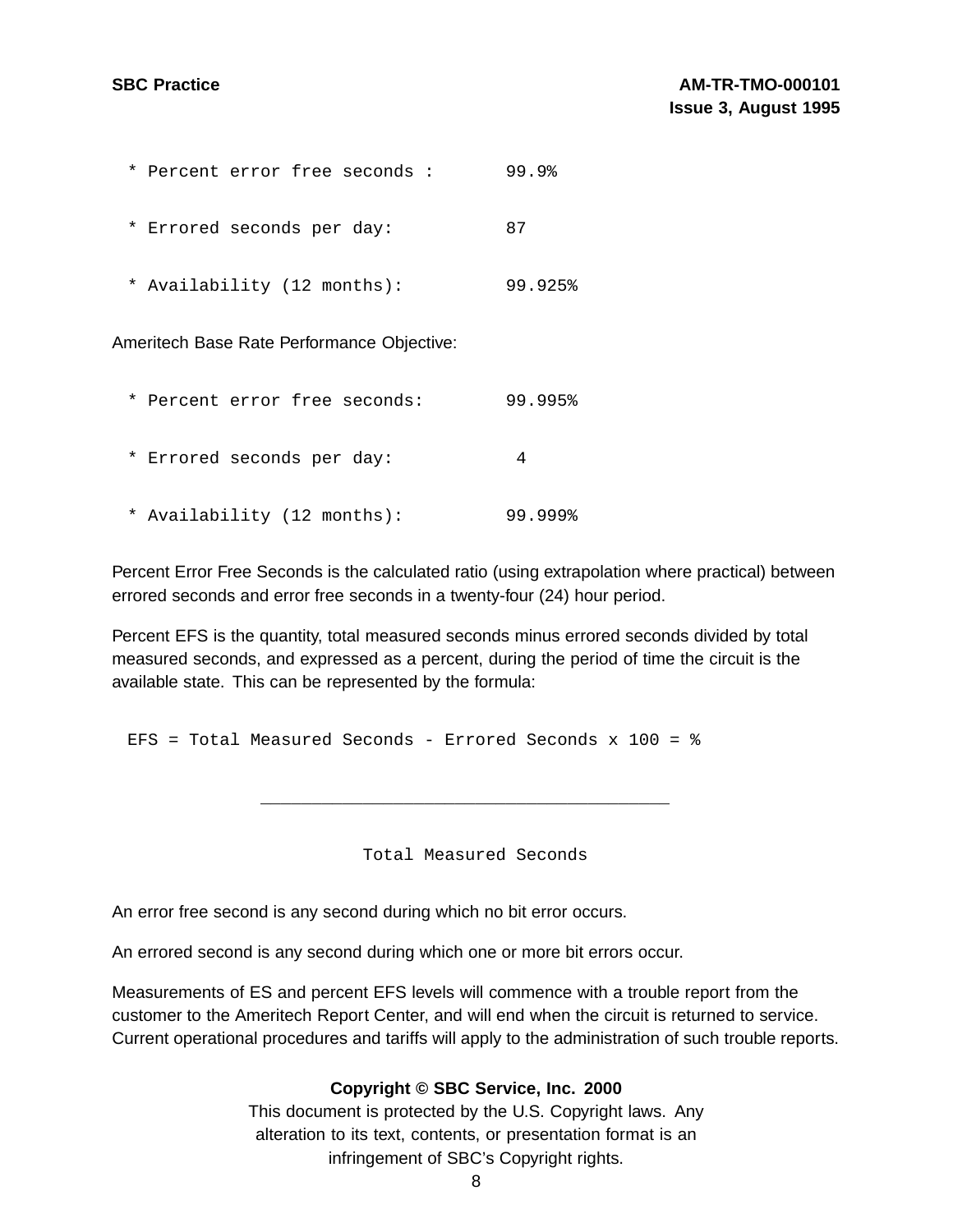| * Percent error free seconds :             | 99.9    |  |  |  |
|--------------------------------------------|---------|--|--|--|
| * Errored seconds per day:                 | 87      |  |  |  |
| * Availability (12 months):                | 99.925% |  |  |  |
| Ameritech Base Rate Performance Objective: |         |  |  |  |
| * Percent error free seconds:              | 99.995% |  |  |  |
| * Errored seconds per day:                 | 4       |  |  |  |
| * Availability (12 months):                | 99.999% |  |  |  |

Percent Error Free Seconds is the calculated ratio (using extrapolation where practical) between errored seconds and error free seconds in a twenty-four (24) hour period.

Percent EFS is the quantity, total measured seconds minus errored seconds divided by total measured seconds, and expressed as a percent, during the period of time the circuit is the available state. This can be represented by the formula:

EFS = Total Measured Seconds - Errored Seconds x 100 = %

Total Measured Seconds

\_\_\_\_\_\_\_\_\_\_\_\_\_\_\_\_\_\_\_\_\_\_\_\_\_\_\_\_\_\_\_\_\_\_\_\_\_\_\_\_

An error free second is any second during which no bit error occurs.

An errored second is any second during which one or more bit errors occur.

Measurements of ES and percent EFS levels will commence with a trouble report from the customer to the Ameritech Report Center, and will end when the circuit is returned to service. Current operational procedures and tariffs will apply to the administration of such trouble reports.

#### **Copyright © SBC Service, Inc. 2000**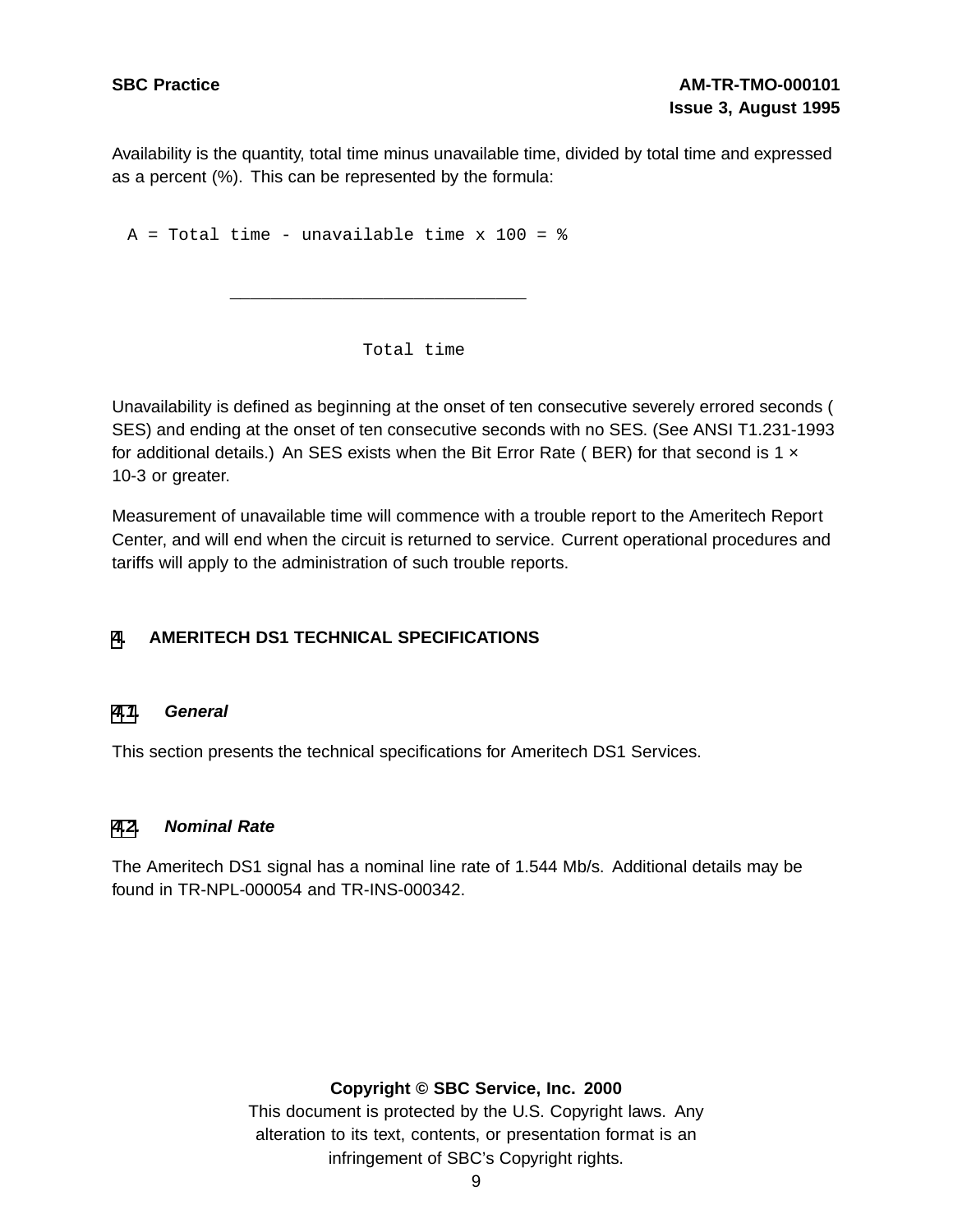Availability is the quantity, total time minus unavailable time, divided by total time and expressed as a percent (%). This can be represented by the formula:

 $A = Total time - unavailable time x 100 = %$ 

\_\_\_\_\_\_\_\_\_\_\_\_\_\_\_\_\_\_\_\_\_\_\_\_\_\_\_\_\_

Total time

Unavailability is defined as beginning at the onset of ten consecutive severely errored seconds ( SES) and ending at the onset of ten consecutive seconds with no SES. (See ANSI T1.231-1993 for additional details.) An SES exists when the Bit Error Rate (BER) for that second is 1  $\times$ 10-3 or greater.

Measurement of unavailable time will commence with a trouble report to the Ameritech Report Center, and will end when the circuit is returned to service. Current operational procedures and tariffs will apply to the administration of such trouble reports.

#### **[4](#page-11-0). AMERITECH DS1 TECHNICAL SPECIFICATIONS**

#### **[4.1](#page-11-0). General**

This section presents the technical specifications for Ameritech DS1 Services.

#### **[4.2](#page-11-0). Nominal Rate**

The Ameritech DS1 signal has a nominal line rate of 1.544 Mb/s. Additional details may be found in TR-NPL-000054 and TR-INS-000342.

#### <span id="page-11-0"></span>**Copyright © SBC Service, Inc. 2000**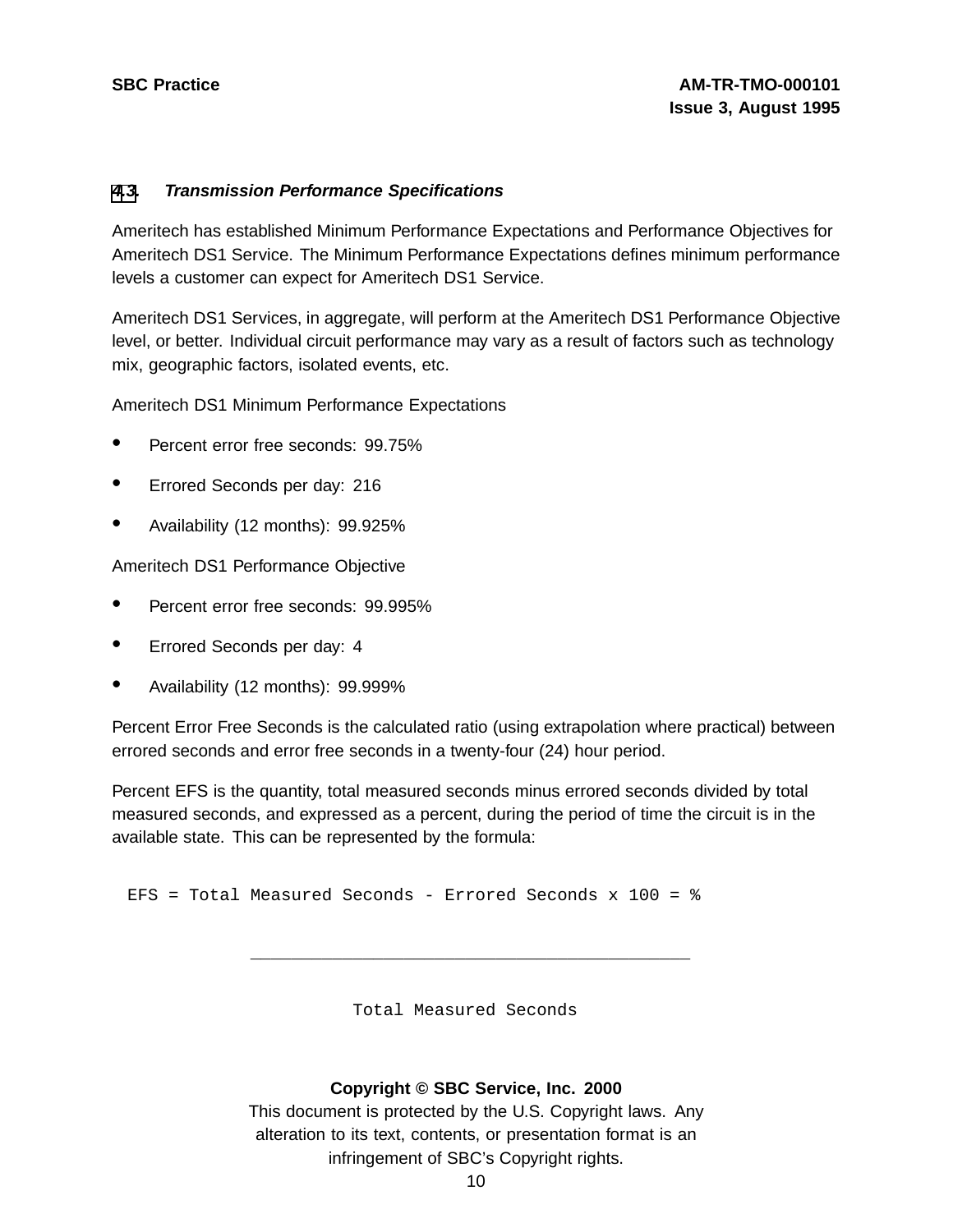#### **[4](#page-11-0)[.3](#page-12-0). Transmission Performance Specifications**

Ameritech has established Minimum Performance Expectations and Performance Objectives for Ameritech DS1 Service. The Minimum Performance Expectations defines minimum performance levels a customer can expect for Ameritech DS1 Service.

Ameritech DS1 Services, in aggregate, will perform at the Ameritech DS1 Performance Objective level, or better. Individual circuit performance may vary as a result of factors such as technology mix, geographic factors, isolated events, etc.

Ameritech DS1 Minimum Performance Expectations

- Percent error free seconds: 99.75%
- Errored Seconds per day: <sup>216</sup>
- Availability (12 months): 99.925%

Ameritech DS1 Performance Objective

- Percent error free seconds: 99.995%
- Errored Seconds per day: <sup>4</sup>
- Availability (12 months): 99.999%

Percent Error Free Seconds is the calculated ratio (using extrapolation where practical) between errored seconds and error free seconds in a twenty-four (24) hour period.

Percent EFS is the quantity, total measured seconds minus errored seconds divided by total measured seconds, and expressed as a percent, during the period of time the circuit is in the available state. This can be represented by the formula:

EFS = Total Measured Seconds - Errored Seconds x 100 = %

Total Measured Seconds

\_\_\_\_\_\_\_\_\_\_\_\_\_\_\_\_\_\_\_\_\_\_\_\_\_\_\_\_\_\_\_\_\_\_\_\_\_\_\_\_\_\_\_

#### <span id="page-12-0"></span>**Copyright © SBC Service, Inc. 2000**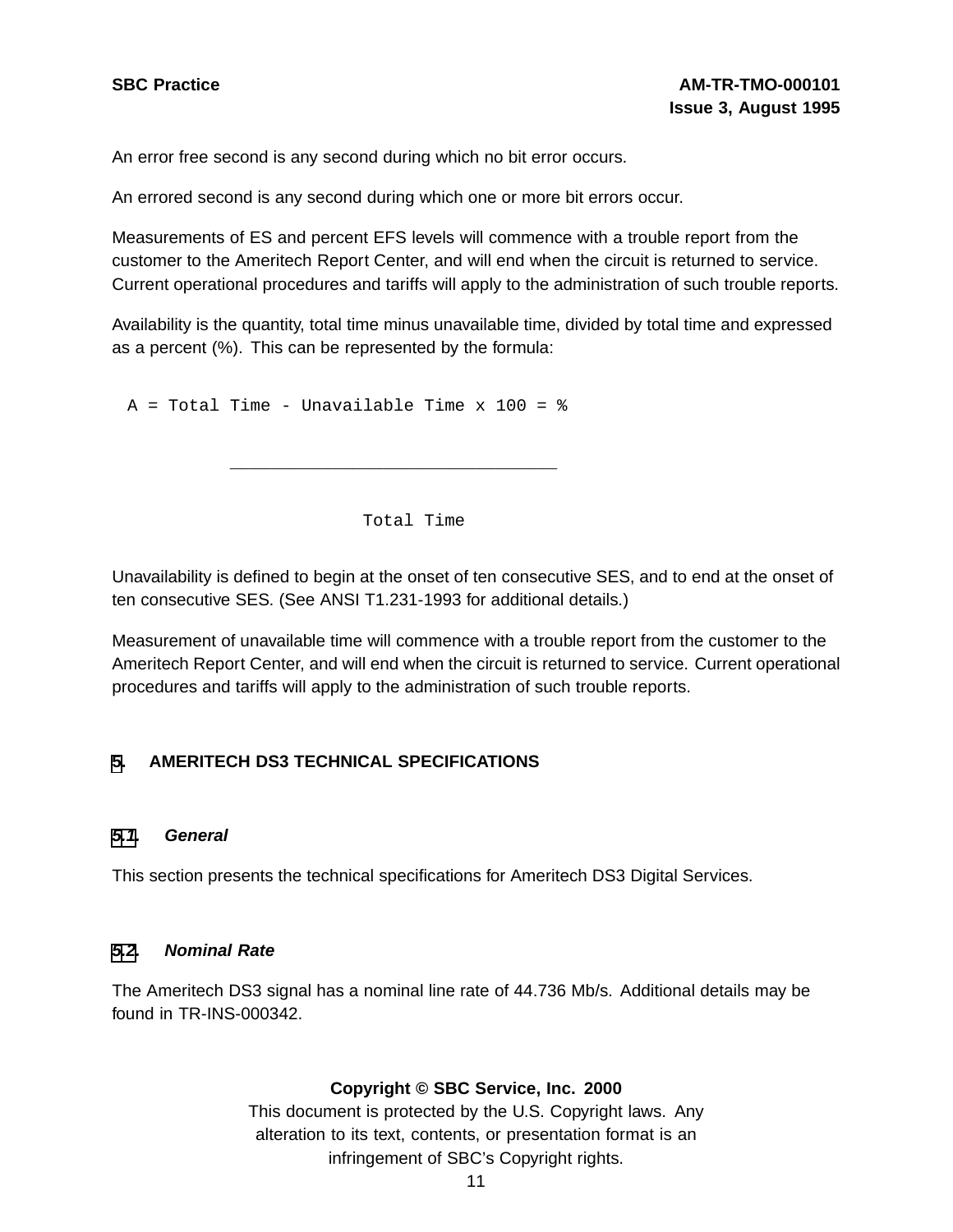An error free second is any second during which no bit error occurs.

An errored second is any second during which one or more bit errors occur.

Measurements of ES and percent EFS levels will commence with a trouble report from the customer to the Ameritech Report Center, and will end when the circuit is returned to service. Current operational procedures and tariffs will apply to the administration of such trouble reports.

Availability is the quantity, total time minus unavailable time, divided by total time and expressed as a percent (%). This can be represented by the formula:

 $A = Total Time - Unavailable Time x 100 =  $8$$ 

Total Time

\_\_\_\_\_\_\_\_\_\_\_\_\_\_\_\_\_\_\_\_\_\_\_\_\_\_\_\_\_\_\_\_

Unavailability is defined to begin at the onset of ten consecutive SES, and to end at the onset of ten consecutive SES. (See ANSI T1.231-1993 for additional details.)

Measurement of unavailable time will commence with a trouble report from the customer to the Ameritech Report Center, and will end when the circuit is returned to service. Current operational procedures and tariffs will apply to the administration of such trouble reports.

#### **[5](#page-13-0). AMERITECH DS3 TECHNICAL SPECIFICATIONS**

#### **[5.1](#page-13-0). General**

This section presents the technical specifications for Ameritech DS3 Digital Services.

#### **[5.2](#page-13-0). Nominal Rate**

<span id="page-13-0"></span>The Ameritech DS3 signal has a nominal line rate of 44.736 Mb/s. Additional details may be found in TR-INS-000342.

#### **Copyright © SBC Service, Inc. 2000**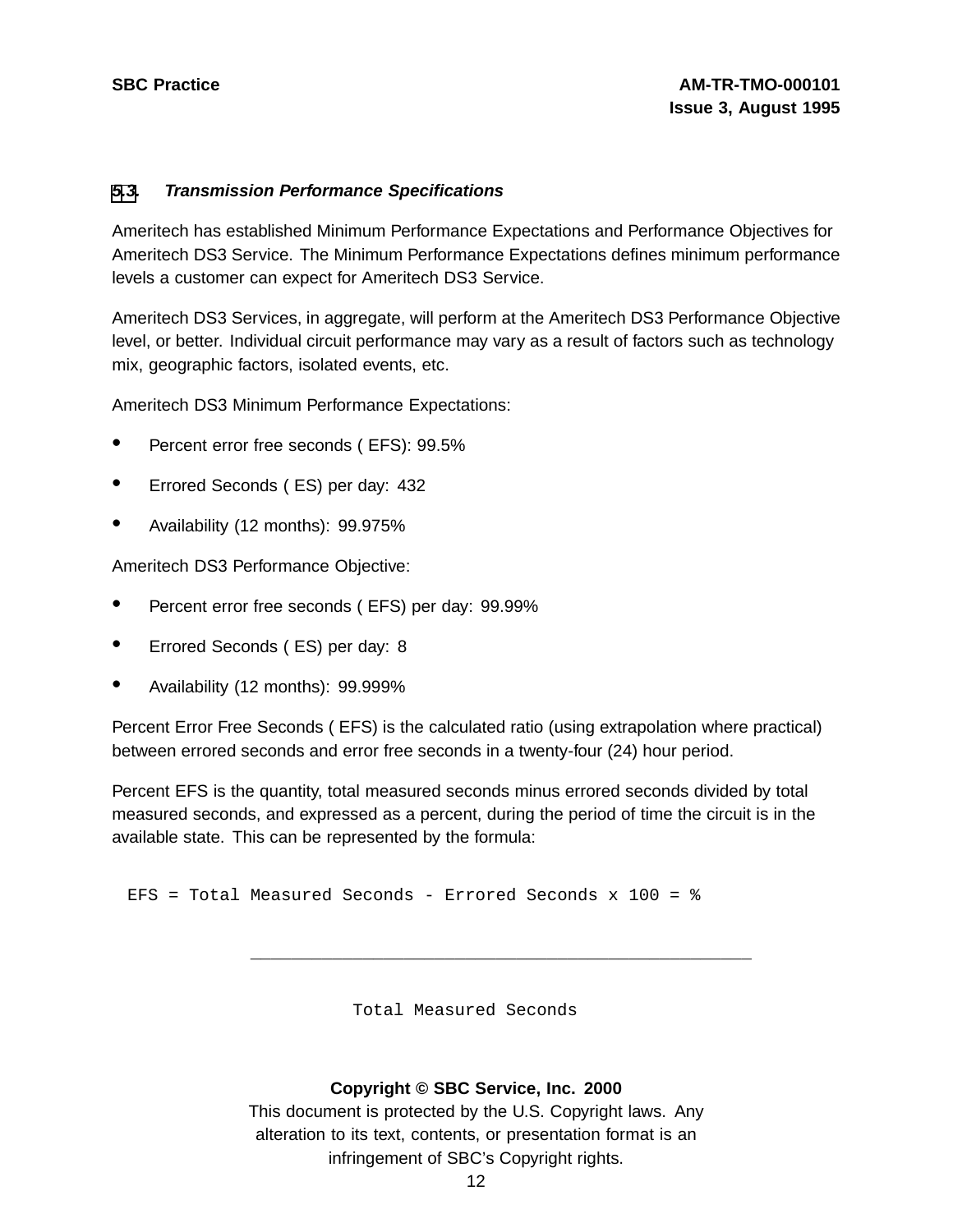#### **[5](#page-13-0)[.3](#page-14-0). Transmission Performance Specifications**

Ameritech has established Minimum Performance Expectations and Performance Objectives for Ameritech DS3 Service. The Minimum Performance Expectations defines minimum performance levels a customer can expect for Ameritech DS3 Service.

Ameritech DS3 Services, in aggregate, will perform at the Ameritech DS3 Performance Objective level, or better. Individual circuit performance may vary as a result of factors such as technology mix, geographic factors, isolated events, etc.

Ameritech DS3 Minimum Performance Expectations:

- Percent error free seconds ( EFS): 99.5%
- Errored Seconds ( ES) per day: <sup>432</sup>
- Availability (12 months): 99.975%

Ameritech DS3 Performance Objective:

- Percent error free seconds ( EFS) per day: 99.99%
- Errored Seconds ( ES) per day: <sup>8</sup>
- Availability (12 months): 99.999%

Percent Error Free Seconds ( EFS) is the calculated ratio (using extrapolation where practical) between errored seconds and error free seconds in a twenty-four (24) hour period.

Percent EFS is the quantity, total measured seconds minus errored seconds divided by total measured seconds, and expressed as a percent, during the period of time the circuit is in the available state. This can be represented by the formula:

EFS = Total Measured Seconds - Errored Seconds x 100 = %

Total Measured Seconds

\_\_\_\_\_\_\_\_\_\_\_\_\_\_\_\_\_\_\_\_\_\_\_\_\_\_\_\_\_\_\_\_\_\_\_\_\_\_\_\_\_\_\_\_\_\_\_\_\_

#### <span id="page-14-0"></span>**Copyright © SBC Service, Inc. 2000**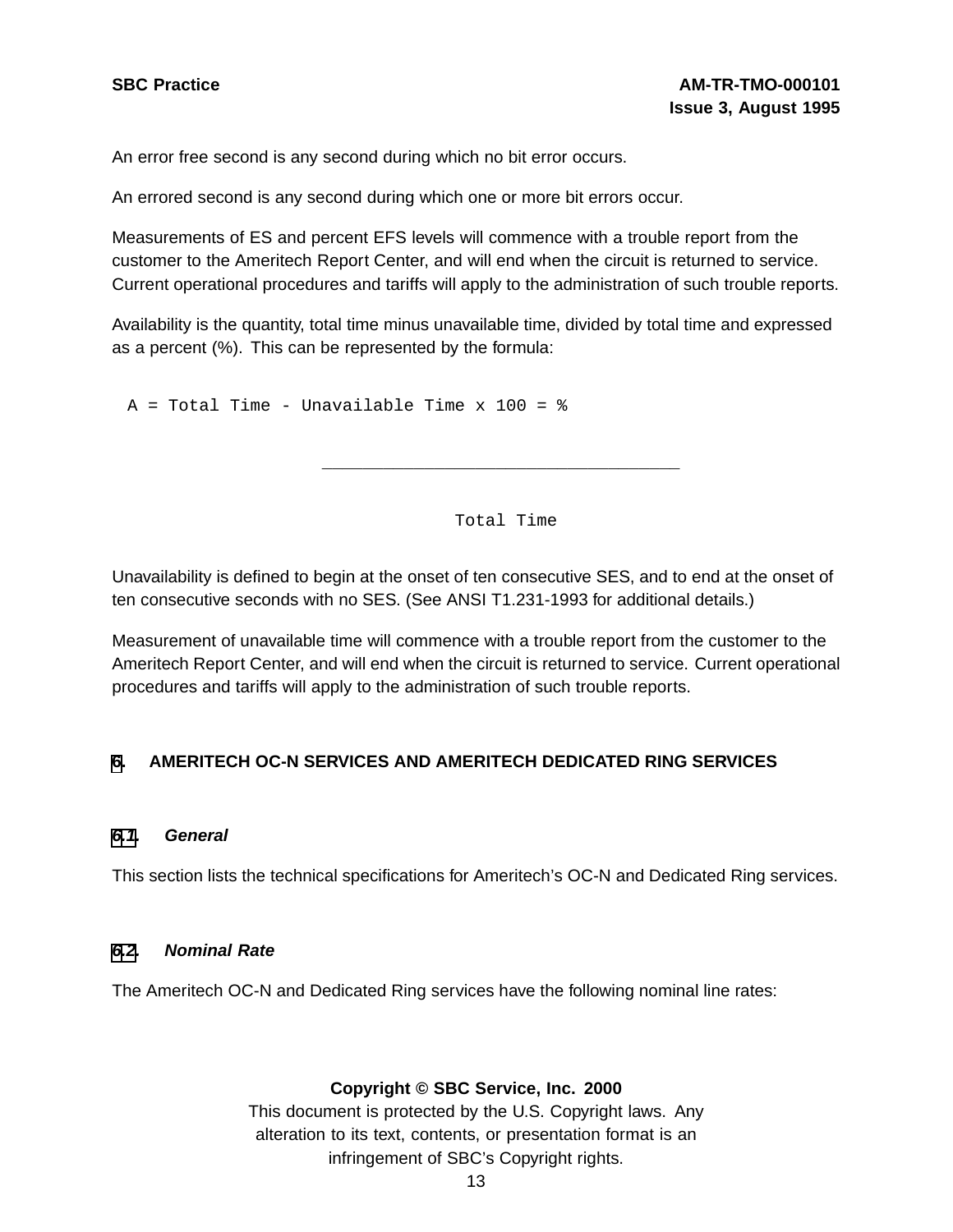An error free second is any second during which no bit error occurs.

An errored second is any second during which one or more bit errors occur.

Measurements of ES and percent EFS levels will commence with a trouble report from the customer to the Ameritech Report Center, and will end when the circuit is returned to service. Current operational procedures and tariffs will apply to the administration of such trouble reports.

Availability is the quantity, total time minus unavailable time, divided by total time and expressed as a percent (%). This can be represented by the formula:

 $A = Total Time - Unavailable Time x 100 =  $8$$ 

Total Time

\_\_\_\_\_\_\_\_\_\_\_\_\_\_\_\_\_\_\_\_\_\_\_\_\_\_\_\_\_\_\_\_\_\_\_

Unavailability is defined to begin at the onset of ten consecutive SES, and to end at the onset of ten consecutive seconds with no SES. (See ANSI T1.231-1993 for additional details.)

Measurement of unavailable time will commence with a trouble report from the customer to the Ameritech Report Center, and will end when the circuit is returned to service. Current operational procedures and tariffs will apply to the administration of such trouble reports.

#### **[6](#page-15-0). AMERITECH OC-N SERVICES AND AMERITECH DEDICATED RING SERVICES**

#### **[6.1](#page-15-0). General**

This section lists the technical specifications for Ameritech's OC-N and Dedicated Ring services.

#### **[6.2](#page-15-0). Nominal Rate**

<span id="page-15-0"></span>The Ameritech OC-N and Dedicated Ring services have the following nominal line rates:

#### **Copyright © SBC Service, Inc. 2000**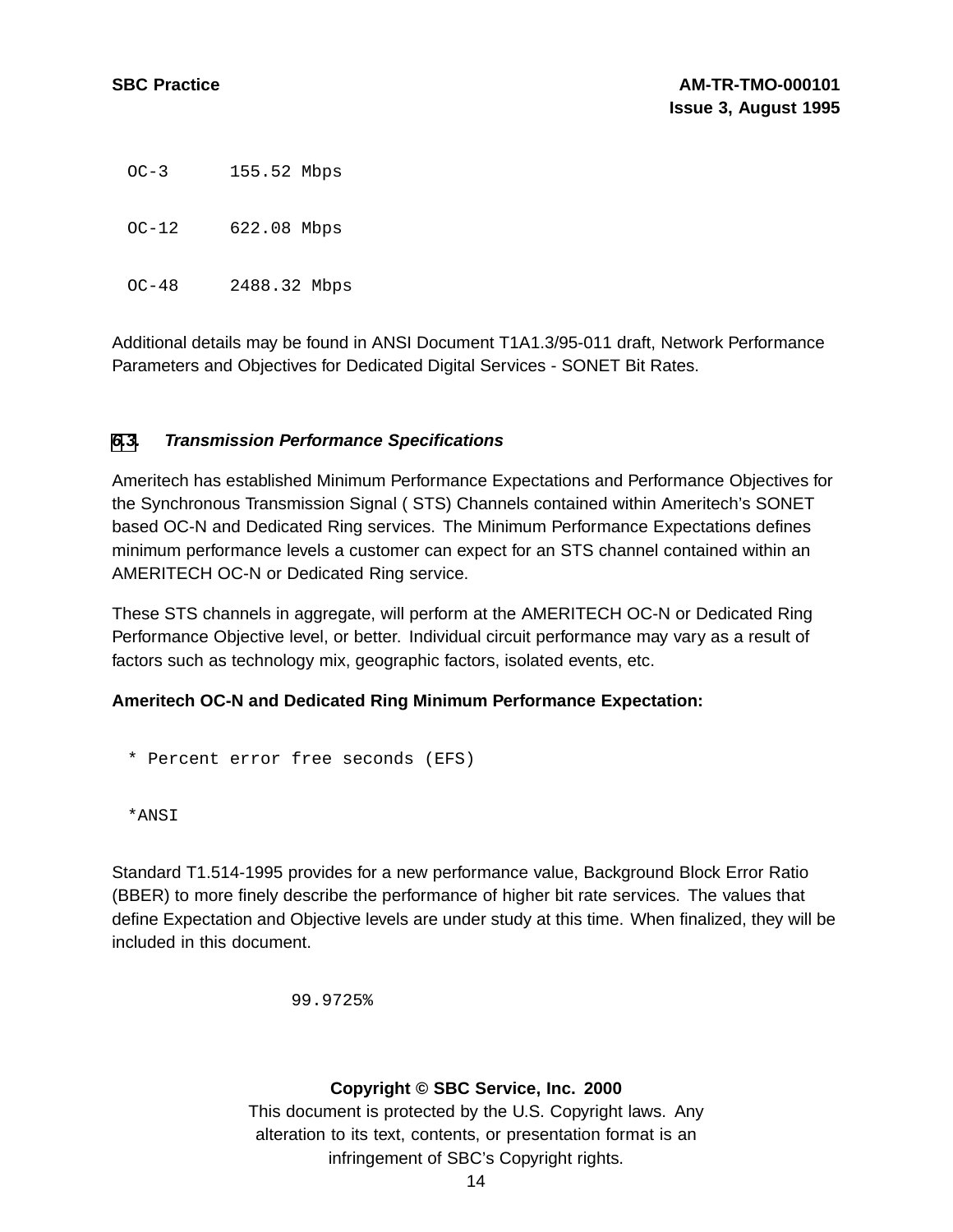OC-3 155.52 Mbps

OC-12 622.08 Mbps

OC-48 2488.32 Mbps

Additional details may be found in ANSI Document T1A1.3/95-011 draft, Network Performance Parameters and Objectives for Dedicated Digital Services - SONET Bit Rates.

### **[6](#page-15-0)[.3](#page-16-0). Transmission Performance Specifications**

Ameritech has established Minimum Performance Expectations and Performance Objectives for the Synchronous Transmission Signal ( STS) Channels contained within Ameritech's SONET based OC-N and Dedicated Ring services. The Minimum Performance Expectations defines minimum performance levels a customer can expect for an STS channel contained within an AMERITECH OC-N or Dedicated Ring service.

These STS channels in aggregate, will perform at the AMERITECH OC-N or Dedicated Ring Performance Objective level, or better. Individual circuit performance may vary as a result of factors such as technology mix, geographic factors, isolated events, etc.

#### **Ameritech OC-N and Dedicated Ring Minimum Performance Expectation:**

\* Percent error free seconds (EFS)

\*ANSI

Standard T1.514-1995 provides for a new performance value, Background Block Error Ratio (BBER) to more finely describe the performance of higher bit rate services. The values that define Expectation and Objective levels are under study at this time. When finalized, they will be included in this document.

99.9725%

#### <span id="page-16-0"></span>**Copyright © SBC Service, Inc. 2000**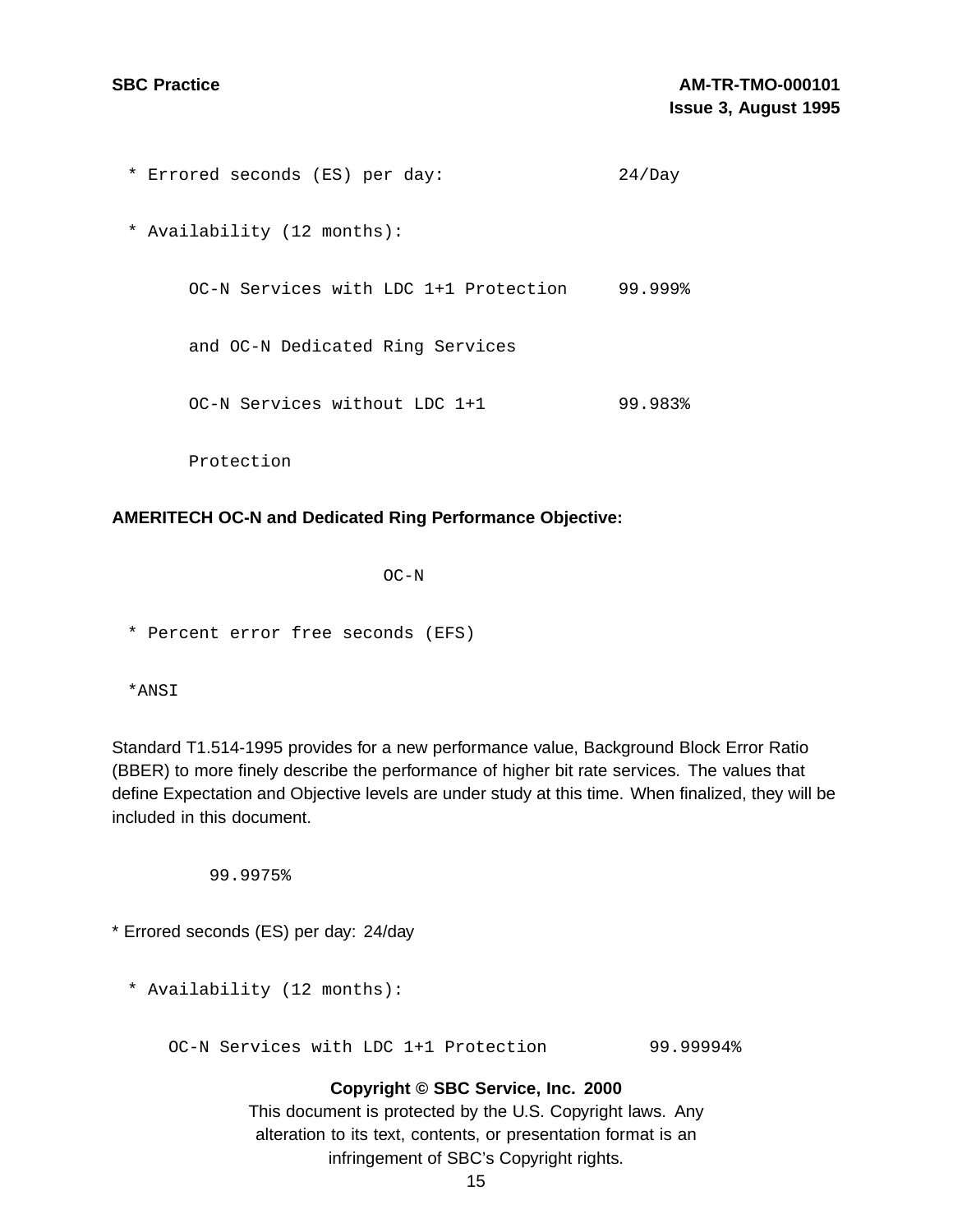| * Errored seconds (ES) per day:       | 24/Day  |
|---------------------------------------|---------|
| * Availability (12 months):           |         |
| OC-N Services with LDC 1+1 Protection | 99.999% |
| and OC-N Dedicated Ring Services      |         |
| OC-N Services without LDC 1+1         | 99.983% |
| Protection                            |         |

#### **AMERITECH OC-N and Dedicated Ring Performance Objective:**

OC-N

\* Percent error free seconds (EFS)

\*ANSI

Standard T1.514-1995 provides for a new performance value, Background Block Error Ratio (BBER) to more finely describe the performance of higher bit rate services. The values that define Expectation and Objective levels are under study at this time. When finalized, they will be included in this document.

99.9975%

\* Errored seconds (ES) per day: 24/day

\* Availability (12 months):

OC-N Services with LDC 1+1 Protection 99.99994%

#### **Copyright © SBC Service, Inc. 2000**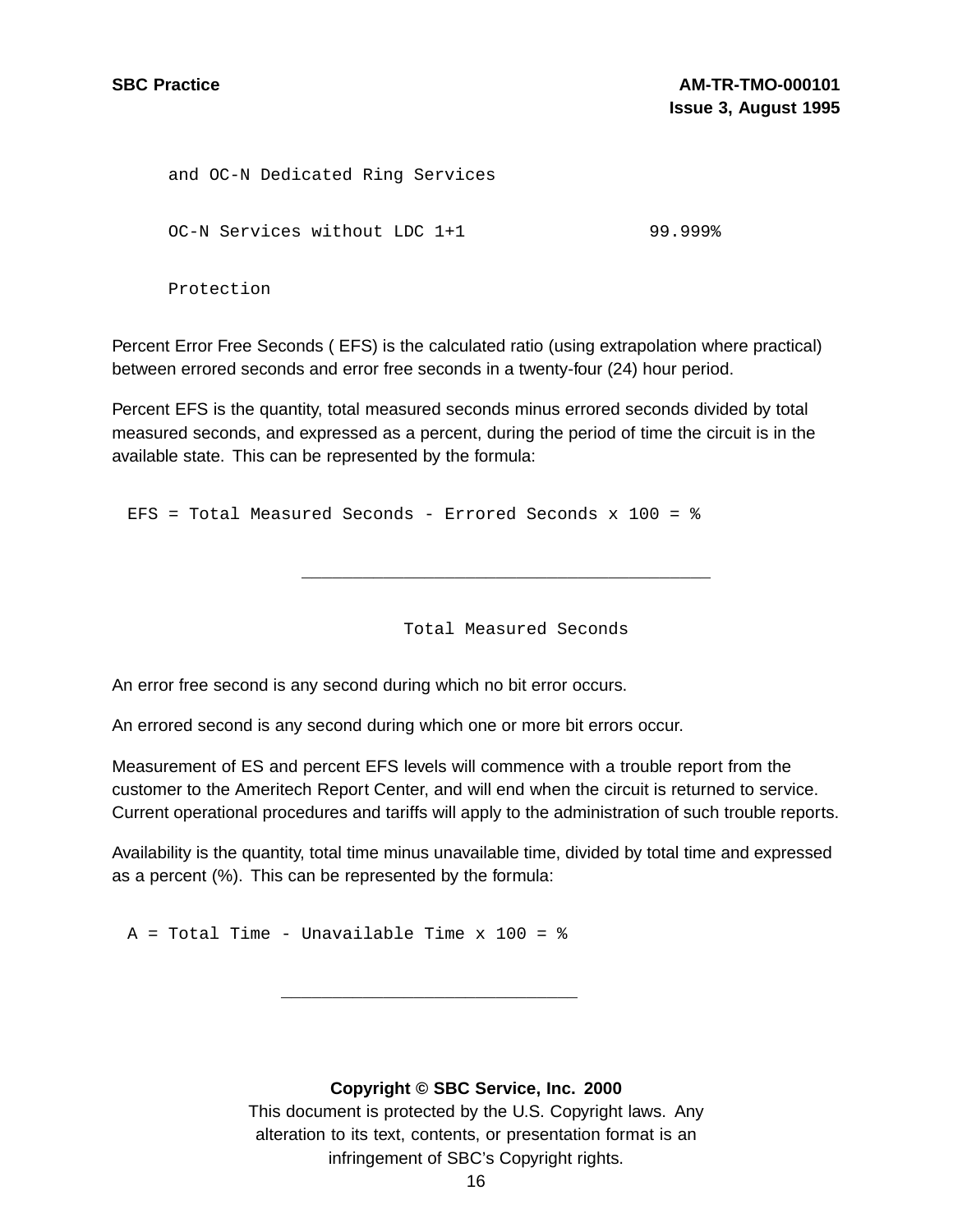and OC-N Dedicated Ring Services OC-N Services without LDC 1+1 99.999% Protection

Percent Error Free Seconds ( EFS) is the calculated ratio (using extrapolation where practical) between errored seconds and error free seconds in a twenty-four (24) hour period.

Percent EFS is the quantity, total measured seconds minus errored seconds divided by total measured seconds, and expressed as a percent, during the period of time the circuit is in the available state. This can be represented by the formula:

EFS = Total Measured Seconds - Errored Seconds x 100 = %

Total Measured Seconds

\_\_\_\_\_\_\_\_\_\_\_\_\_\_\_\_\_\_\_\_\_\_\_\_\_\_\_\_\_\_\_\_\_\_\_\_\_\_\_\_

An error free second is any second during which no bit error occurs.

An errored second is any second during which one or more bit errors occur.

Measurement of ES and percent EFS levels will commence with a trouble report from the customer to the Ameritech Report Center, and will end when the circuit is returned to service. Current operational procedures and tariffs will apply to the administration of such trouble reports.

Availability is the quantity, total time minus unavailable time, divided by total time and expressed as a percent (%). This can be represented by the formula:

 $A = Total Time - Unavailable Time x 100 = %$ 

#### **Copyright © SBC Service, Inc. 2000**

\_\_\_\_\_\_\_\_\_\_\_\_\_\_\_\_\_\_\_\_\_\_\_\_\_\_\_\_\_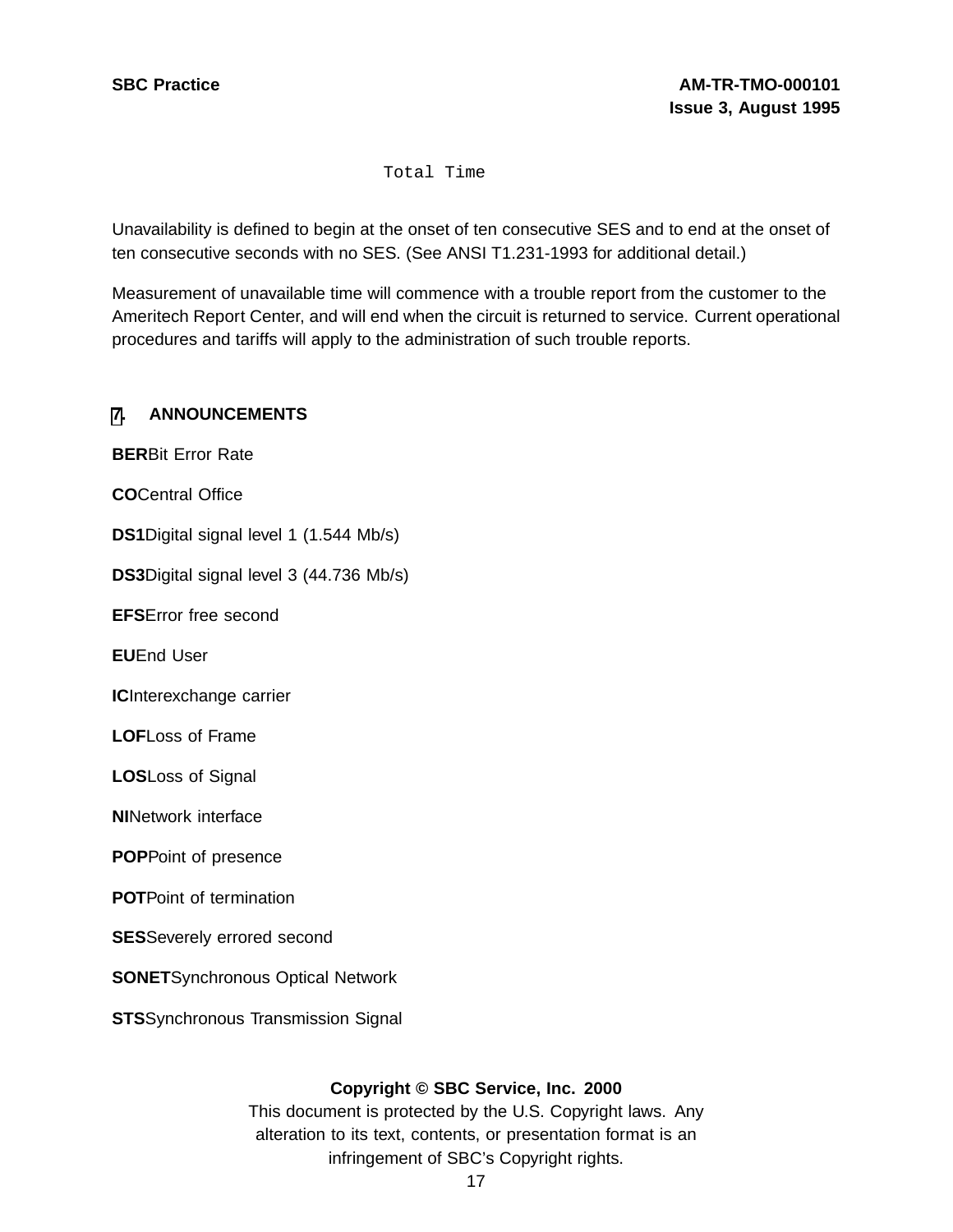Total Time

Unavailability is defined to begin at the onset of ten consecutive SES and to end at the onset of ten consecutive seconds with no SES. (See ANSI T1.231-1993 for additional detail.)

Measurement of unavailable time will commence with a trouble report from the customer to the Ameritech Report Center, and will end when the circuit is returned to service. Current operational procedures and tariffs will apply to the administration of such trouble reports.

#### **[7](#page-19-0). ANNOUNCEMENTS**

**BER**Bit Error Rate **CO**Central Office **DS1**Digital signal level 1 (1.544 Mb/s) **DS3**Digital signal level 3 (44.736 Mb/s) **EFS**Error free second **EU**End User **IC**Interexchange carrier **LOF**Loss of Frame **LOS**Loss of Signal **NI**Network interface **POP**Point of presence **POT**Point of termination **SES**Severely errored second **SONET**Synchronous Optical Network **STS**Synchronous Transmission Signal

#### <span id="page-19-0"></span>**Copyright © SBC Service, Inc. 2000**